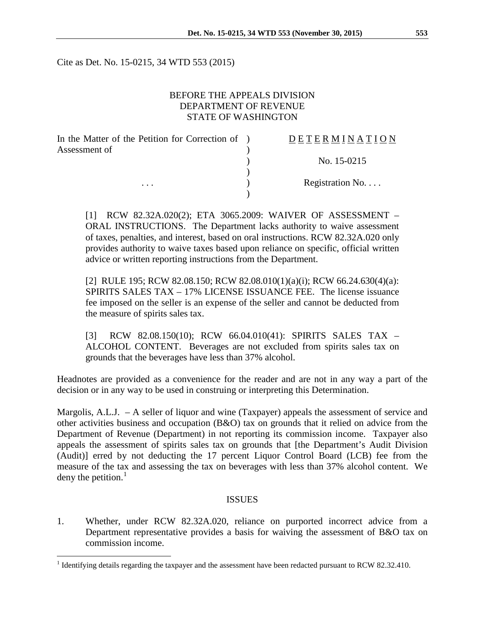Cite as Det. No. 15-0215, 34 WTD 553 (2015)

# BEFORE THE APPEALS DIVISION DEPARTMENT OF REVENUE STATE OF WASHINGTON

| In the Matter of the Petition for Correction of ) | DETERMINATION   |
|---------------------------------------------------|-----------------|
| Assessment of<br>$\cdots$                         |                 |
|                                                   | No. 15-0215     |
|                                                   |                 |
|                                                   | Registration No |
|                                                   |                 |

[1] RCW 82.32A.020(2); ETA 3065.2009: WAIVER OF ASSESSMENT – ORAL INSTRUCTIONS. The Department lacks authority to waive assessment of taxes, penalties, and interest, based on oral instructions. RCW 82.32A.020 only provides authority to waive taxes based upon reliance on specific, official written advice or written reporting instructions from the Department.

[2] RULE 195; RCW 82.08.150; RCW 82.08.010(1)(a)(i); RCW 66.24.630(4)(a): SPIRITS SALES TAX – 17% LICENSE ISSUANCE FEE. The license issuance fee imposed on the seller is an expense of the seller and cannot be deducted from the measure of spirits sales tax.

[3] RCW 82.08.150(10); RCW 66.04.010(41): SPIRITS SALES TAX -ALCOHOL CONTENT. Beverages are not excluded from spirits sales tax on grounds that the beverages have less than 37% alcohol.

Headnotes are provided as a convenience for the reader and are not in any way a part of the decision or in any way to be used in construing or interpreting this Determination.

Margolis, A.L.J. – A seller of liquor and wine (Taxpayer) appeals the assessment of service and other activities business and occupation (B&O) tax on grounds that it relied on advice from the Department of Revenue (Department) in not reporting its commission income. Taxpayer also appeals the assessment of spirits sales tax on grounds that [the Department's Audit Division (Audit)] erred by not deducting the 17 percent Liquor Control Board (LCB) fee from the measure of the tax and assessing the tax on beverages with less than 37% alcohol content. We deny the petition. $<sup>1</sup>$  $<sup>1</sup>$  $<sup>1</sup>$ </sup>

# **ISSUES**

1. Whether, under RCW 82.32A.020, reliance on purported incorrect advice from a Department representative provides a basis for waiving the assessment of B&O tax on commission income.

<span id="page-0-0"></span><sup>&</sup>lt;sup>1</sup> Identifying details regarding the taxpayer and the assessment have been redacted pursuant to RCW 82.32.410.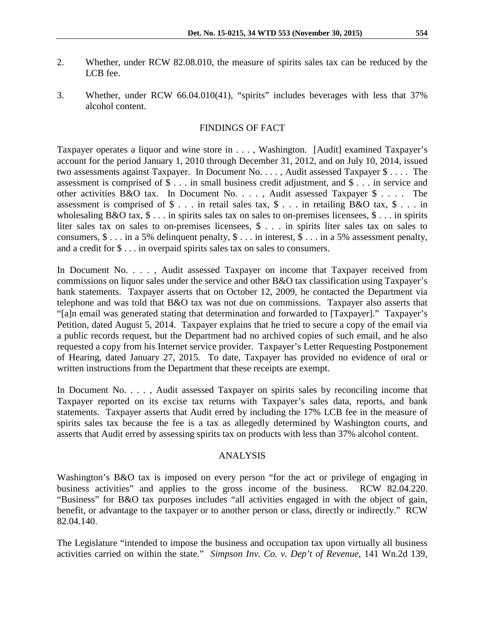- 2. Whether, under RCW 82.08.010, the measure of spirits sales tax can be reduced by the LCB fee.
- 3. Whether, under RCW 66.04.010(41), "spirits" includes beverages with less that 37% alcohol content.

# FINDINGS OF FACT

Taxpayer operates a liquor and wine store in . . . , Washington. [Audit] examined Taxpayer's account for the period January 1, 2010 through December 31, 2012, and on July 10, 2014, issued two assessments against Taxpayer. In Document No. . . . , Audit assessed Taxpayer \$ . . . . The assessment is comprised of \$ . . . in small business credit adjustment, and \$ . . . in service and other activities B&O tax. In Document No. . . . , Audit assessed Taxpayer \$ . . . . The assessment is comprised of  $\$ \dots$  in retail sales tax,  $\$ \dots$  in retailing B&O tax,  $\$ \dots$  in wholesaling B&O tax, \$ . . . in spirits sales tax on sales to on-premises licensees, \$ . . . in spirits liter sales tax on sales to on-premises licensees, \$ . . . in spirits liter sales tax on sales to consumers,  $\$ \dots$  in a 5% delinquent penalty,  $\$ \dots$  in interest,  $\$ \dots$  in a 5% assessment penalty, and a credit for \$ . . . in overpaid spirits sales tax on sales to consumers.

In Document No. . . . , Audit assessed Taxpayer on income that Taxpayer received from commissions on liquor sales under the service and other B&O tax classification using Taxpayer's bank statements. Taxpayer asserts that on October 12, 2009, he contacted the Department via telephone and was told that B&O tax was not due on commissions. Taxpayer also asserts that "[a]n email was generated stating that determination and forwarded to [Taxpayer]." Taxpayer's Petition, dated August 5, 2014. Taxpayer explains that he tried to secure a copy of the email via a public records request, but the Department had no archived copies of such email, and he also requested a copy from his Internet service provider. Taxpayer's Letter Requesting Postponement of Hearing, dated January 27, 2015. To date, Taxpayer has provided no evidence of oral or written instructions from the Department that these receipts are exempt.

In Document No. . . . , Audit assessed Taxpayer on spirits sales by reconciling income that Taxpayer reported on its excise tax returns with Taxpayer's sales data, reports, and bank statements. Taxpayer asserts that Audit erred by including the 17% LCB fee in the measure of spirits sales tax because the fee is a tax as allegedly determined by Washington courts, and asserts that Audit erred by assessing spirits tax on products with less than 37% alcohol content.

### ANALYSIS

Washington's B&O tax is imposed on every person "for the act or privilege of engaging in business activities" and applies to the gross income of the business. RCW 82.04.220. "Business" for B&O tax purposes includes "all activities engaged in with the object of gain, benefit, or advantage to the taxpayer or to another person or class, directly or indirectly." RCW 82.04.140.

The Legislature "intended to impose the business and occupation tax upon virtually all business activities carried on within the state." *Simpson Inv. Co. v. Dep't of Revenue*, 141 Wn.2d 139,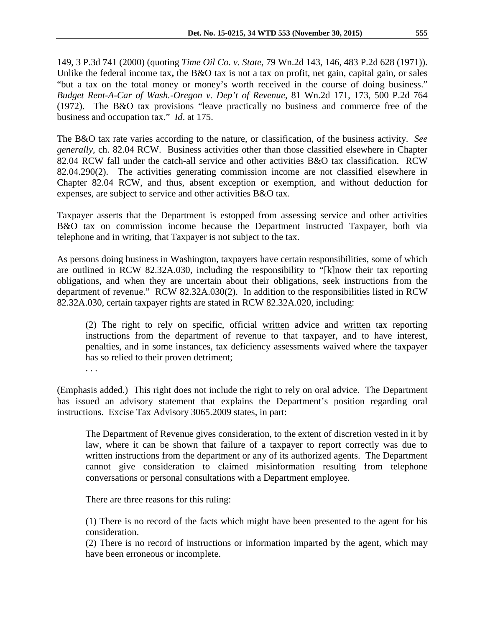149, 3 P.3d 741 (2000) (quoting *Time Oil Co. v. State*, 79 Wn.2d 143, 146, 483 P.2d 628 (1971)). Unlike the federal income tax**,** the B&O tax is not a tax on profit, net gain, capital gain, or sales "but a tax on the total money or money's worth received in the course of doing business." *Budget Rent-A-Car of Wash.-Oregon v. Dep't of Revenue*, 81 Wn.2d 171, 173, 500 P.2d 764 (1972). The B&O tax provisions "leave practically no business and commerce free of the business and occupation tax." *Id*. at 175.

The B&O tax rate varies according to the nature, or classification, of the business activity. *See generally,* ch. 82.04 RCW. Business activities other than those classified elsewhere in Chapter 82.04 RCW fall under the catch-all service and other activities B&O tax classification. RCW 82.04.290(2). The activities generating commission income are not classified elsewhere in Chapter 82.04 RCW, and thus, absent exception or exemption, and without deduction for expenses, are subject to service and other activities B&O tax.

Taxpayer asserts that the Department is estopped from assessing service and other activities B&O tax on commission income because the Department instructed Taxpayer, both via telephone and in writing, that Taxpayer is not subject to the tax.

As persons doing business in Washington, taxpayers have certain responsibilities, some of which are outlined in RCW 82.32A.030, including the responsibility to "[k]now their tax reporting obligations, and when they are uncertain about their obligations, seek instructions from the department of revenue." RCW 82.32A.030(2). In addition to the responsibilities listed in RCW 82.32A.030, certain taxpayer rights are stated in RCW 82.32A.020, including:

(2) The right to rely on specific, official written advice and written tax reporting instructions from the department of revenue to that taxpayer, and to have interest, penalties, and in some instances, tax deficiency assessments waived where the taxpayer has so relied to their proven detriment;

. . .

(Emphasis added.) This right does not include the right to rely on oral advice. The Department has issued an advisory statement that explains the Department's position regarding oral instructions. Excise Tax Advisory 3065.2009 states, in part:

The Department of Revenue gives consideration, to the extent of discretion vested in it by law, where it can be shown that failure of a taxpayer to report correctly was due to written instructions from the department or any of its authorized agents. The Department cannot give consideration to claimed misinformation resulting from telephone conversations or personal consultations with a Department employee.

There are three reasons for this ruling:

(1) There is no record of the facts which might have been presented to the agent for his consideration.

(2) There is no record of instructions or information imparted by the agent, which may have been erroneous or incomplete.